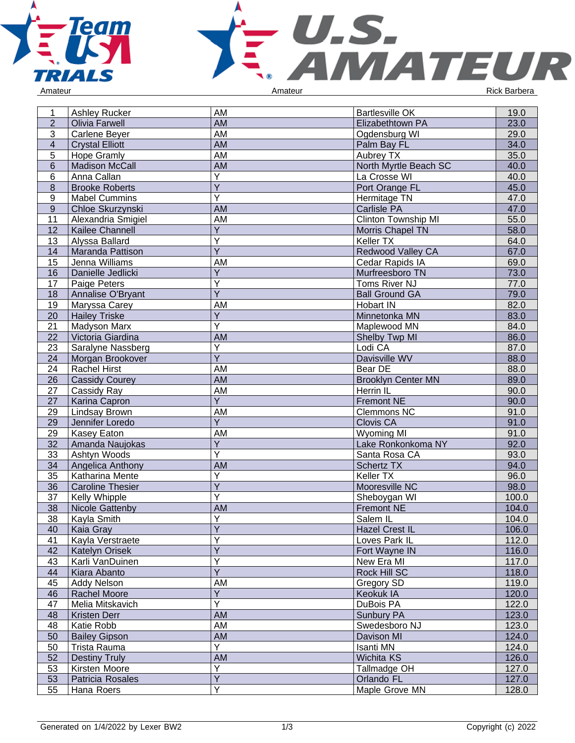



| Amateur |  |  |
|---------|--|--|
|         |  |  |

| 1              | Ashley Rucker           | AM                      | <b>Bartlesville OK</b>     | 19.0         |
|----------------|-------------------------|-------------------------|----------------------------|--------------|
| $\overline{2}$ | <b>Olivia Farwell</b>   | <b>AM</b>               | Elizabethtown PA           | 23.0<br>29.0 |
| 3              | Carlene Beyer           | AM                      | Ogdensburg WI              |              |
| $\overline{4}$ | <b>Crystal Elliott</b>  | <b>AM</b>               | Palm Bay FL                | 34.0         |
| 5              | Hope Gramly             | AM                      | Aubrey TX                  | 35.0         |
| $6\phantom{1}$ | <b>Madison McCall</b>   | <b>AM</b>               | North Myrtle Beach SC      | 40.0         |
| 6              | Anna Callan             | Ÿ                       | La Crosse WI               | 40.0<br>45.0 |
| $\bf 8$        | <b>Brooke Roberts</b>   | $\overline{Y}$          | Port Orange FL             |              |
| 9              | <b>Mabel Cummins</b>    | $\overline{\mathsf{Y}}$ | Hermitage TN               |              |
| $9\,$          | Chloe Skurzynski        | <b>AM</b>               | <b>Carlisle PA</b>         |              |
| 11             | Alexandria Smigiel      | AM                      | <b>Clinton Township MI</b> | 55.0         |
| 12             | Kailee Channell         | Y                       | Morris Chapel TN           | 58.0         |
| 13             | Alyssa Ballard          | Υ                       | Keller TX                  | 64.0         |
| 14             | Maranda Pattison        | $\overline{\mathsf{Y}}$ | Redwood Valley CA          | 67.0         |
| 15             | Jenna Williams          | AM                      | Cedar Rapids IA            |              |
| 16             | Danielle Jedlicki       | $\overline{Y}$          | Murfreesboro TN            |              |
| 17             | Paige Peters            | $\overline{\mathsf{Y}}$ | Toms River NJ              |              |
| 18             | Annalise O'Bryant       | $\overline{Y}$          | <b>Ball Ground GA</b>      | 79.0         |
| 19             | Maryssa Carey           | AM                      | Hobart IN                  |              |
| 20             | <b>Hailey Triske</b>    | $\overline{Y}$          | Minnetonka MN              | 83.0         |
| 21             | Madyson Marx            | $\overline{Y}$          | Maplewood MN               | 84.0         |
| 22             | Victoria Giardina       | <b>AM</b>               | Shelby Twp MI              | 86.0         |
| 23             | Saralyne Nassberg       | Υ                       | Lodi CA                    | 87.0         |
| 24             | Morgan Brookover        | $\overline{Y}$          | Davisville WV              | 88.0         |
| 24             | <b>Rachel Hirst</b>     | AM                      | Bear DE                    | 88.0         |
| 26             | <b>Cassidy Courey</b>   | <b>AM</b>               | <b>Brooklyn Center MN</b>  | 89.0         |
| 27             | Cassidy Ray             | <b>AM</b>               | Herrin IL                  | 90.0         |
| 27             | Karina Capron           | $\overline{Y}$          | <b>Fremont NE</b>          | 90.0         |
| 29             | Lindsay Brown           | AM                      | <b>Clemmons NC</b>         | 91.0         |
| 29             | Jennifer Loredo         | $\overline{Y}$          | <b>Clovis CA</b>           | 91.0         |
| 29             | Kasey Eaton             | AM                      | <b>Wyoming MI</b>          | 91.0         |
| 32             | Amanda Naujokas         | Y                       | Lake Ronkonkoma NY         | 92.0         |
| 33             | Ashtyn Woods            | Y                       | Santa Rosa CA              | 93.0         |
| 34             | Angelica Anthony        | <b>AM</b>               | <b>Schertz TX</b>          | 94.0         |
| 35             | Katharina Mente         | Y                       | Keller TX                  | 96.0         |
| 36             | <b>Caroline Thesier</b> | Ÿ                       | Mooresville NC             | 98.0         |
| 37             | Kelly Whipple           | $\overline{\mathsf{Y}}$ | Sheboygan WI               | 100.0        |
| 38             | Nicole Gattenby         | <b>AM</b>               | <b>Fremont NE</b>          | 104.0        |
| 38             | Kayla Smith             | $\overline{\mathsf{Y}}$ | Salem IL                   | 104.0        |
| 40             | Kaia Gray               | $\vee$<br>- 1           | <b>Hazel Crest IL</b>      | 106.0        |
| 41             | Kayla Verstraete        | Υ                       | Loves Park IL              | 112.0        |
| 42             | <b>Katelyn Orisek</b>   | $\overline{Y}$          | Fort Wayne IN              | 116.0        |
| 43             | Karli VanDuinen         | Y                       | New Era MI                 | 117.0        |
| 44             | Kiara Abanto            | $\overline{Y}$          | Rock Hill SC               | 118.0        |
| 45             | <b>Addy Nelson</b>      | AM                      | Gregory SD                 | 119.0        |
| 46             | Rachel Moore            | Y                       | Keokuk IA                  | 120.0        |
| 47             | Melia Mitskavich        | $\overline{\mathsf{Y}}$ | DuBois PA                  | 122.0        |
| 48             | Kristen Derr            | <b>AM</b>               | Sunbury PA                 | 123.0        |
| 48             | Katie Robb              | AM                      | Swedesboro NJ              | 123.0        |
| 50             | <b>Bailey Gipson</b>    | <b>AM</b>               | Davison MI                 | 124.0        |
| 50             | Trista Rauma            | Y                       | Isanti MN                  | 124.0        |
| 52             | <b>Destiny Truly</b>    | AM                      | Wichita KS                 | 126.0        |
| 53             | Kirsten Moore           | Υ                       | Tallmadge OH               | 127.0        |
| 53             | Patricia Rosales        | $\overline{Y}$          | Orlando FL                 | 127.0        |
| 55             | Hana Roers              | $\overline{\mathsf{Y}}$ | Maple Grove MN             | 128.0        |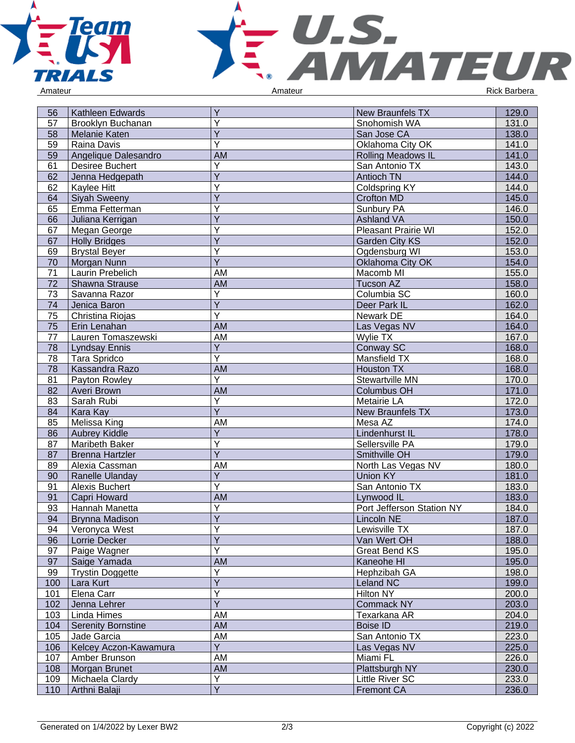



| Y<br>57<br>Brooklyn Buchanan<br>Snohomish WA<br>131.0<br>Υ<br><b>Melanie Katen</b><br>138.0<br>58<br>San Jose CA<br>Υ<br>59<br>Raina Davis<br>Oklahoma City OK<br>141.0<br>59<br>Angelique Dalesandro<br><b>AM</b><br>141.0<br><b>Rolling Meadows IL</b><br>$\overline{Y}$<br>61<br><b>Desiree Buchert</b><br>San Antonio TX<br>143.0<br>$\overline{Y}$<br>62<br>Jenna Hedgepath<br>Antioch TN<br>144.0<br>Y<br><b>Coldspring KY</b><br>144.0<br>62<br>Kaylee Hitt<br>Y<br>64<br><b>Siyah Sweeny</b><br><b>Crofton MD</b><br>145.0<br>Υ<br>65<br>Emma Fetterman<br>Sunbury PA<br>146.0<br>Y<br>150.0<br>Juliana Kerrigan<br>Ashland VA<br>66<br>Υ<br>Pleasant Prairie WI<br>152.0<br>67<br>Megan George<br>Y<br>152.0<br>67<br><b>Holly Bridges</b><br><b>Garden City KS</b><br>Υ<br>153.0<br>69<br><b>Brystal Beyer</b><br>Ogdensburg WI<br>$\overline{Y}$<br>70<br>Oklahoma City OK<br>154.0<br>Morgan Nunn<br>71<br>AM<br>Laurin Prebelich<br>Macomb MI<br>155.0<br><b>AM</b><br>72<br>Shawna Strause<br>Tucson AZ<br>158.0<br>$\overline{Y}$<br>73<br>Columbia SC<br>160.0<br>Savanna Razor<br>$\overline{Y}$<br>162.0<br>74<br>Jenica Baron<br>Deer Park IL<br>Y<br>75<br>Christina Riojas<br>Newark DE<br>164.0<br>75<br><b>AM</b><br>Erin Lenahan<br>Las Vegas NV<br>164.0<br>AM<br>Wylie TX<br>77<br>Lauren Tomaszewski<br>167.0<br>Y<br><b>Lyndsay Ennis</b><br>Conway SC<br>168.0<br>78<br>$\overline{\mathsf{Y}}$<br>Tara Spridco<br>Mansfield TX<br>168.0<br>78<br><b>AM</b><br>78<br>Kassandra Razo<br><b>Houston TX</b><br>168.0<br>$\overline{Y}$<br>81<br>Stewartville MN<br>170.0<br>Payton Rowley<br><b>AM</b><br>82<br>Averi Brown<br><b>Columbus OH</b><br>171.0<br>Υ<br>83<br>Sarah Rubi<br>Metairie LA<br>172.0<br>$\overline{Y}$<br>173.0<br>Kara Kay<br>New Braunfels TX<br>84<br>85<br>Melissa King<br>AM<br>Mesa AZ<br>174.0<br>$\overline{Y}$<br>178.0<br>86<br>Aubrey Kiddle<br>Lindenhurst IL<br>Y<br>Sellersville PA<br>87<br>Maribeth Baker<br>179.0<br>$\overline{Y}$<br>87<br>179.0<br><b>Brenna Hartzler</b><br>Smithville OH<br>89<br>AM<br>North Las Vegas NV<br>180.0<br>Alexia Cassman<br>$\overline{Y}$<br>Ranelle Ulanday<br>Union KY<br>181.0<br>90<br>Ÿ<br>91<br>Alexis Buchert<br>San Antonio TX<br>183.0<br><b>AM</b><br>91<br>Capri Howard<br>183.0<br>Lynwood IL<br>Y<br>93<br>Hannah Manetta<br>Port Jefferson Station NY<br>184.0<br>$\overline{Y}$<br>94<br>187.0<br><b>Brynna Madison</b><br>Lincoln NE<br>$\checkmark$<br>94<br>187.0<br>Veronyca West<br>Lewisville TX<br>J.<br>Ÿ<br>Van Wert OH<br>188.0<br>96<br>Lorrie Decker<br>Y<br>97<br>195.0<br>Paige Wagner<br>Great Bend KS<br>97<br>AM<br>Saige Yamada<br>Kaneohe HI<br>195.0<br>Υ<br>99<br>Trystin Doggette<br>198.0<br>Hephzibah GA |
|------------------------------------------------------------------------------------------------------------------------------------------------------------------------------------------------------------------------------------------------------------------------------------------------------------------------------------------------------------------------------------------------------------------------------------------------------------------------------------------------------------------------------------------------------------------------------------------------------------------------------------------------------------------------------------------------------------------------------------------------------------------------------------------------------------------------------------------------------------------------------------------------------------------------------------------------------------------------------------------------------------------------------------------------------------------------------------------------------------------------------------------------------------------------------------------------------------------------------------------------------------------------------------------------------------------------------------------------------------------------------------------------------------------------------------------------------------------------------------------------------------------------------------------------------------------------------------------------------------------------------------------------------------------------------------------------------------------------------------------------------------------------------------------------------------------------------------------------------------------------------------------------------------------------------------------------------------------------------------------------------------------------------------------------------------------------------------------------------------------------------------------------------------------------------------------------------------------------------------------------------------------------------------------------------------------------------------------------------------------------------------------------------------------------------------------------------------------------------------------------------------------------------------------------------------------------------------------------------------------------------------------------------------------------------------------------------------------------------------------------------|
|                                                                                                                                                                                                                                                                                                                                                                                                                                                                                                                                                                                                                                                                                                                                                                                                                                                                                                                                                                                                                                                                                                                                                                                                                                                                                                                                                                                                                                                                                                                                                                                                                                                                                                                                                                                                                                                                                                                                                                                                                                                                                                                                                                                                                                                                                                                                                                                                                                                                                                                                                                                                                                                                                                                                                      |
|                                                                                                                                                                                                                                                                                                                                                                                                                                                                                                                                                                                                                                                                                                                                                                                                                                                                                                                                                                                                                                                                                                                                                                                                                                                                                                                                                                                                                                                                                                                                                                                                                                                                                                                                                                                                                                                                                                                                                                                                                                                                                                                                                                                                                                                                                                                                                                                                                                                                                                                                                                                                                                                                                                                                                      |
|                                                                                                                                                                                                                                                                                                                                                                                                                                                                                                                                                                                                                                                                                                                                                                                                                                                                                                                                                                                                                                                                                                                                                                                                                                                                                                                                                                                                                                                                                                                                                                                                                                                                                                                                                                                                                                                                                                                                                                                                                                                                                                                                                                                                                                                                                                                                                                                                                                                                                                                                                                                                                                                                                                                                                      |
|                                                                                                                                                                                                                                                                                                                                                                                                                                                                                                                                                                                                                                                                                                                                                                                                                                                                                                                                                                                                                                                                                                                                                                                                                                                                                                                                                                                                                                                                                                                                                                                                                                                                                                                                                                                                                                                                                                                                                                                                                                                                                                                                                                                                                                                                                                                                                                                                                                                                                                                                                                                                                                                                                                                                                      |
|                                                                                                                                                                                                                                                                                                                                                                                                                                                                                                                                                                                                                                                                                                                                                                                                                                                                                                                                                                                                                                                                                                                                                                                                                                                                                                                                                                                                                                                                                                                                                                                                                                                                                                                                                                                                                                                                                                                                                                                                                                                                                                                                                                                                                                                                                                                                                                                                                                                                                                                                                                                                                                                                                                                                                      |
|                                                                                                                                                                                                                                                                                                                                                                                                                                                                                                                                                                                                                                                                                                                                                                                                                                                                                                                                                                                                                                                                                                                                                                                                                                                                                                                                                                                                                                                                                                                                                                                                                                                                                                                                                                                                                                                                                                                                                                                                                                                                                                                                                                                                                                                                                                                                                                                                                                                                                                                                                                                                                                                                                                                                                      |
|                                                                                                                                                                                                                                                                                                                                                                                                                                                                                                                                                                                                                                                                                                                                                                                                                                                                                                                                                                                                                                                                                                                                                                                                                                                                                                                                                                                                                                                                                                                                                                                                                                                                                                                                                                                                                                                                                                                                                                                                                                                                                                                                                                                                                                                                                                                                                                                                                                                                                                                                                                                                                                                                                                                                                      |
|                                                                                                                                                                                                                                                                                                                                                                                                                                                                                                                                                                                                                                                                                                                                                                                                                                                                                                                                                                                                                                                                                                                                                                                                                                                                                                                                                                                                                                                                                                                                                                                                                                                                                                                                                                                                                                                                                                                                                                                                                                                                                                                                                                                                                                                                                                                                                                                                                                                                                                                                                                                                                                                                                                                                                      |
|                                                                                                                                                                                                                                                                                                                                                                                                                                                                                                                                                                                                                                                                                                                                                                                                                                                                                                                                                                                                                                                                                                                                                                                                                                                                                                                                                                                                                                                                                                                                                                                                                                                                                                                                                                                                                                                                                                                                                                                                                                                                                                                                                                                                                                                                                                                                                                                                                                                                                                                                                                                                                                                                                                                                                      |
|                                                                                                                                                                                                                                                                                                                                                                                                                                                                                                                                                                                                                                                                                                                                                                                                                                                                                                                                                                                                                                                                                                                                                                                                                                                                                                                                                                                                                                                                                                                                                                                                                                                                                                                                                                                                                                                                                                                                                                                                                                                                                                                                                                                                                                                                                                                                                                                                                                                                                                                                                                                                                                                                                                                                                      |
|                                                                                                                                                                                                                                                                                                                                                                                                                                                                                                                                                                                                                                                                                                                                                                                                                                                                                                                                                                                                                                                                                                                                                                                                                                                                                                                                                                                                                                                                                                                                                                                                                                                                                                                                                                                                                                                                                                                                                                                                                                                                                                                                                                                                                                                                                                                                                                                                                                                                                                                                                                                                                                                                                                                                                      |
|                                                                                                                                                                                                                                                                                                                                                                                                                                                                                                                                                                                                                                                                                                                                                                                                                                                                                                                                                                                                                                                                                                                                                                                                                                                                                                                                                                                                                                                                                                                                                                                                                                                                                                                                                                                                                                                                                                                                                                                                                                                                                                                                                                                                                                                                                                                                                                                                                                                                                                                                                                                                                                                                                                                                                      |
|                                                                                                                                                                                                                                                                                                                                                                                                                                                                                                                                                                                                                                                                                                                                                                                                                                                                                                                                                                                                                                                                                                                                                                                                                                                                                                                                                                                                                                                                                                                                                                                                                                                                                                                                                                                                                                                                                                                                                                                                                                                                                                                                                                                                                                                                                                                                                                                                                                                                                                                                                                                                                                                                                                                                                      |
|                                                                                                                                                                                                                                                                                                                                                                                                                                                                                                                                                                                                                                                                                                                                                                                                                                                                                                                                                                                                                                                                                                                                                                                                                                                                                                                                                                                                                                                                                                                                                                                                                                                                                                                                                                                                                                                                                                                                                                                                                                                                                                                                                                                                                                                                                                                                                                                                                                                                                                                                                                                                                                                                                                                                                      |
|                                                                                                                                                                                                                                                                                                                                                                                                                                                                                                                                                                                                                                                                                                                                                                                                                                                                                                                                                                                                                                                                                                                                                                                                                                                                                                                                                                                                                                                                                                                                                                                                                                                                                                                                                                                                                                                                                                                                                                                                                                                                                                                                                                                                                                                                                                                                                                                                                                                                                                                                                                                                                                                                                                                                                      |
|                                                                                                                                                                                                                                                                                                                                                                                                                                                                                                                                                                                                                                                                                                                                                                                                                                                                                                                                                                                                                                                                                                                                                                                                                                                                                                                                                                                                                                                                                                                                                                                                                                                                                                                                                                                                                                                                                                                                                                                                                                                                                                                                                                                                                                                                                                                                                                                                                                                                                                                                                                                                                                                                                                                                                      |
|                                                                                                                                                                                                                                                                                                                                                                                                                                                                                                                                                                                                                                                                                                                                                                                                                                                                                                                                                                                                                                                                                                                                                                                                                                                                                                                                                                                                                                                                                                                                                                                                                                                                                                                                                                                                                                                                                                                                                                                                                                                                                                                                                                                                                                                                                                                                                                                                                                                                                                                                                                                                                                                                                                                                                      |
|                                                                                                                                                                                                                                                                                                                                                                                                                                                                                                                                                                                                                                                                                                                                                                                                                                                                                                                                                                                                                                                                                                                                                                                                                                                                                                                                                                                                                                                                                                                                                                                                                                                                                                                                                                                                                                                                                                                                                                                                                                                                                                                                                                                                                                                                                                                                                                                                                                                                                                                                                                                                                                                                                                                                                      |
|                                                                                                                                                                                                                                                                                                                                                                                                                                                                                                                                                                                                                                                                                                                                                                                                                                                                                                                                                                                                                                                                                                                                                                                                                                                                                                                                                                                                                                                                                                                                                                                                                                                                                                                                                                                                                                                                                                                                                                                                                                                                                                                                                                                                                                                                                                                                                                                                                                                                                                                                                                                                                                                                                                                                                      |
|                                                                                                                                                                                                                                                                                                                                                                                                                                                                                                                                                                                                                                                                                                                                                                                                                                                                                                                                                                                                                                                                                                                                                                                                                                                                                                                                                                                                                                                                                                                                                                                                                                                                                                                                                                                                                                                                                                                                                                                                                                                                                                                                                                                                                                                                                                                                                                                                                                                                                                                                                                                                                                                                                                                                                      |
|                                                                                                                                                                                                                                                                                                                                                                                                                                                                                                                                                                                                                                                                                                                                                                                                                                                                                                                                                                                                                                                                                                                                                                                                                                                                                                                                                                                                                                                                                                                                                                                                                                                                                                                                                                                                                                                                                                                                                                                                                                                                                                                                                                                                                                                                                                                                                                                                                                                                                                                                                                                                                                                                                                                                                      |
|                                                                                                                                                                                                                                                                                                                                                                                                                                                                                                                                                                                                                                                                                                                                                                                                                                                                                                                                                                                                                                                                                                                                                                                                                                                                                                                                                                                                                                                                                                                                                                                                                                                                                                                                                                                                                                                                                                                                                                                                                                                                                                                                                                                                                                                                                                                                                                                                                                                                                                                                                                                                                                                                                                                                                      |
|                                                                                                                                                                                                                                                                                                                                                                                                                                                                                                                                                                                                                                                                                                                                                                                                                                                                                                                                                                                                                                                                                                                                                                                                                                                                                                                                                                                                                                                                                                                                                                                                                                                                                                                                                                                                                                                                                                                                                                                                                                                                                                                                                                                                                                                                                                                                                                                                                                                                                                                                                                                                                                                                                                                                                      |
|                                                                                                                                                                                                                                                                                                                                                                                                                                                                                                                                                                                                                                                                                                                                                                                                                                                                                                                                                                                                                                                                                                                                                                                                                                                                                                                                                                                                                                                                                                                                                                                                                                                                                                                                                                                                                                                                                                                                                                                                                                                                                                                                                                                                                                                                                                                                                                                                                                                                                                                                                                                                                                                                                                                                                      |
|                                                                                                                                                                                                                                                                                                                                                                                                                                                                                                                                                                                                                                                                                                                                                                                                                                                                                                                                                                                                                                                                                                                                                                                                                                                                                                                                                                                                                                                                                                                                                                                                                                                                                                                                                                                                                                                                                                                                                                                                                                                                                                                                                                                                                                                                                                                                                                                                                                                                                                                                                                                                                                                                                                                                                      |
|                                                                                                                                                                                                                                                                                                                                                                                                                                                                                                                                                                                                                                                                                                                                                                                                                                                                                                                                                                                                                                                                                                                                                                                                                                                                                                                                                                                                                                                                                                                                                                                                                                                                                                                                                                                                                                                                                                                                                                                                                                                                                                                                                                                                                                                                                                                                                                                                                                                                                                                                                                                                                                                                                                                                                      |
|                                                                                                                                                                                                                                                                                                                                                                                                                                                                                                                                                                                                                                                                                                                                                                                                                                                                                                                                                                                                                                                                                                                                                                                                                                                                                                                                                                                                                                                                                                                                                                                                                                                                                                                                                                                                                                                                                                                                                                                                                                                                                                                                                                                                                                                                                                                                                                                                                                                                                                                                                                                                                                                                                                                                                      |
|                                                                                                                                                                                                                                                                                                                                                                                                                                                                                                                                                                                                                                                                                                                                                                                                                                                                                                                                                                                                                                                                                                                                                                                                                                                                                                                                                                                                                                                                                                                                                                                                                                                                                                                                                                                                                                                                                                                                                                                                                                                                                                                                                                                                                                                                                                                                                                                                                                                                                                                                                                                                                                                                                                                                                      |
|                                                                                                                                                                                                                                                                                                                                                                                                                                                                                                                                                                                                                                                                                                                                                                                                                                                                                                                                                                                                                                                                                                                                                                                                                                                                                                                                                                                                                                                                                                                                                                                                                                                                                                                                                                                                                                                                                                                                                                                                                                                                                                                                                                                                                                                                                                                                                                                                                                                                                                                                                                                                                                                                                                                                                      |
|                                                                                                                                                                                                                                                                                                                                                                                                                                                                                                                                                                                                                                                                                                                                                                                                                                                                                                                                                                                                                                                                                                                                                                                                                                                                                                                                                                                                                                                                                                                                                                                                                                                                                                                                                                                                                                                                                                                                                                                                                                                                                                                                                                                                                                                                                                                                                                                                                                                                                                                                                                                                                                                                                                                                                      |
|                                                                                                                                                                                                                                                                                                                                                                                                                                                                                                                                                                                                                                                                                                                                                                                                                                                                                                                                                                                                                                                                                                                                                                                                                                                                                                                                                                                                                                                                                                                                                                                                                                                                                                                                                                                                                                                                                                                                                                                                                                                                                                                                                                                                                                                                                                                                                                                                                                                                                                                                                                                                                                                                                                                                                      |
|                                                                                                                                                                                                                                                                                                                                                                                                                                                                                                                                                                                                                                                                                                                                                                                                                                                                                                                                                                                                                                                                                                                                                                                                                                                                                                                                                                                                                                                                                                                                                                                                                                                                                                                                                                                                                                                                                                                                                                                                                                                                                                                                                                                                                                                                                                                                                                                                                                                                                                                                                                                                                                                                                                                                                      |
|                                                                                                                                                                                                                                                                                                                                                                                                                                                                                                                                                                                                                                                                                                                                                                                                                                                                                                                                                                                                                                                                                                                                                                                                                                                                                                                                                                                                                                                                                                                                                                                                                                                                                                                                                                                                                                                                                                                                                                                                                                                                                                                                                                                                                                                                                                                                                                                                                                                                                                                                                                                                                                                                                                                                                      |
|                                                                                                                                                                                                                                                                                                                                                                                                                                                                                                                                                                                                                                                                                                                                                                                                                                                                                                                                                                                                                                                                                                                                                                                                                                                                                                                                                                                                                                                                                                                                                                                                                                                                                                                                                                                                                                                                                                                                                                                                                                                                                                                                                                                                                                                                                                                                                                                                                                                                                                                                                                                                                                                                                                                                                      |
|                                                                                                                                                                                                                                                                                                                                                                                                                                                                                                                                                                                                                                                                                                                                                                                                                                                                                                                                                                                                                                                                                                                                                                                                                                                                                                                                                                                                                                                                                                                                                                                                                                                                                                                                                                                                                                                                                                                                                                                                                                                                                                                                                                                                                                                                                                                                                                                                                                                                                                                                                                                                                                                                                                                                                      |
|                                                                                                                                                                                                                                                                                                                                                                                                                                                                                                                                                                                                                                                                                                                                                                                                                                                                                                                                                                                                                                                                                                                                                                                                                                                                                                                                                                                                                                                                                                                                                                                                                                                                                                                                                                                                                                                                                                                                                                                                                                                                                                                                                                                                                                                                                                                                                                                                                                                                                                                                                                                                                                                                                                                                                      |
|                                                                                                                                                                                                                                                                                                                                                                                                                                                                                                                                                                                                                                                                                                                                                                                                                                                                                                                                                                                                                                                                                                                                                                                                                                                                                                                                                                                                                                                                                                                                                                                                                                                                                                                                                                                                                                                                                                                                                                                                                                                                                                                                                                                                                                                                                                                                                                                                                                                                                                                                                                                                                                                                                                                                                      |
|                                                                                                                                                                                                                                                                                                                                                                                                                                                                                                                                                                                                                                                                                                                                                                                                                                                                                                                                                                                                                                                                                                                                                                                                                                                                                                                                                                                                                                                                                                                                                                                                                                                                                                                                                                                                                                                                                                                                                                                                                                                                                                                                                                                                                                                                                                                                                                                                                                                                                                                                                                                                                                                                                                                                                      |
|                                                                                                                                                                                                                                                                                                                                                                                                                                                                                                                                                                                                                                                                                                                                                                                                                                                                                                                                                                                                                                                                                                                                                                                                                                                                                                                                                                                                                                                                                                                                                                                                                                                                                                                                                                                                                                                                                                                                                                                                                                                                                                                                                                                                                                                                                                                                                                                                                                                                                                                                                                                                                                                                                                                                                      |
|                                                                                                                                                                                                                                                                                                                                                                                                                                                                                                                                                                                                                                                                                                                                                                                                                                                                                                                                                                                                                                                                                                                                                                                                                                                                                                                                                                                                                                                                                                                                                                                                                                                                                                                                                                                                                                                                                                                                                                                                                                                                                                                                                                                                                                                                                                                                                                                                                                                                                                                                                                                                                                                                                                                                                      |
|                                                                                                                                                                                                                                                                                                                                                                                                                                                                                                                                                                                                                                                                                                                                                                                                                                                                                                                                                                                                                                                                                                                                                                                                                                                                                                                                                                                                                                                                                                                                                                                                                                                                                                                                                                                                                                                                                                                                                                                                                                                                                                                                                                                                                                                                                                                                                                                                                                                                                                                                                                                                                                                                                                                                                      |
|                                                                                                                                                                                                                                                                                                                                                                                                                                                                                                                                                                                                                                                                                                                                                                                                                                                                                                                                                                                                                                                                                                                                                                                                                                                                                                                                                                                                                                                                                                                                                                                                                                                                                                                                                                                                                                                                                                                                                                                                                                                                                                                                                                                                                                                                                                                                                                                                                                                                                                                                                                                                                                                                                                                                                      |
|                                                                                                                                                                                                                                                                                                                                                                                                                                                                                                                                                                                                                                                                                                                                                                                                                                                                                                                                                                                                                                                                                                                                                                                                                                                                                                                                                                                                                                                                                                                                                                                                                                                                                                                                                                                                                                                                                                                                                                                                                                                                                                                                                                                                                                                                                                                                                                                                                                                                                                                                                                                                                                                                                                                                                      |
| $\overline{Y}$<br>Lara Kurt<br><b>Leland NC</b><br>199.0<br>100                                                                                                                                                                                                                                                                                                                                                                                                                                                                                                                                                                                                                                                                                                                                                                                                                                                                                                                                                                                                                                                                                                                                                                                                                                                                                                                                                                                                                                                                                                                                                                                                                                                                                                                                                                                                                                                                                                                                                                                                                                                                                                                                                                                                                                                                                                                                                                                                                                                                                                                                                                                                                                                                                      |
| Y<br>Elena Carr<br>Hilton NY<br>200.0<br>101                                                                                                                                                                                                                                                                                                                                                                                                                                                                                                                                                                                                                                                                                                                                                                                                                                                                                                                                                                                                                                                                                                                                                                                                                                                                                                                                                                                                                                                                                                                                                                                                                                                                                                                                                                                                                                                                                                                                                                                                                                                                                                                                                                                                                                                                                                                                                                                                                                                                                                                                                                                                                                                                                                         |
| $\overline{Y}$<br>102<br>203.0<br>Jenna Lehrer<br><b>Commack NY</b>                                                                                                                                                                                                                                                                                                                                                                                                                                                                                                                                                                                                                                                                                                                                                                                                                                                                                                                                                                                                                                                                                                                                                                                                                                                                                                                                                                                                                                                                                                                                                                                                                                                                                                                                                                                                                                                                                                                                                                                                                                                                                                                                                                                                                                                                                                                                                                                                                                                                                                                                                                                                                                                                                  |
| AM<br>Linda Himes<br>Texarkana AR<br>204.0<br>103                                                                                                                                                                                                                                                                                                                                                                                                                                                                                                                                                                                                                                                                                                                                                                                                                                                                                                                                                                                                                                                                                                                                                                                                                                                                                                                                                                                                                                                                                                                                                                                                                                                                                                                                                                                                                                                                                                                                                                                                                                                                                                                                                                                                                                                                                                                                                                                                                                                                                                                                                                                                                                                                                                    |
| AM<br>219.0<br><b>Serenity Bornstine</b><br><b>Boise ID</b><br>104                                                                                                                                                                                                                                                                                                                                                                                                                                                                                                                                                                                                                                                                                                                                                                                                                                                                                                                                                                                                                                                                                                                                                                                                                                                                                                                                                                                                                                                                                                                                                                                                                                                                                                                                                                                                                                                                                                                                                                                                                                                                                                                                                                                                                                                                                                                                                                                                                                                                                                                                                                                                                                                                                   |
| AM<br>Jade Garcia<br>San Antonio TX<br>223.0<br>105                                                                                                                                                                                                                                                                                                                                                                                                                                                                                                                                                                                                                                                                                                                                                                                                                                                                                                                                                                                                                                                                                                                                                                                                                                                                                                                                                                                                                                                                                                                                                                                                                                                                                                                                                                                                                                                                                                                                                                                                                                                                                                                                                                                                                                                                                                                                                                                                                                                                                                                                                                                                                                                                                                  |
| $\overline{Y}$<br>Las Vegas NV<br>225.0<br>Kelcey Aczon-Kawamura<br>106                                                                                                                                                                                                                                                                                                                                                                                                                                                                                                                                                                                                                                                                                                                                                                                                                                                                                                                                                                                                                                                                                                                                                                                                                                                                                                                                                                                                                                                                                                                                                                                                                                                                                                                                                                                                                                                                                                                                                                                                                                                                                                                                                                                                                                                                                                                                                                                                                                                                                                                                                                                                                                                                              |
| Miami FL<br>Amber Brunson<br>AM<br>226.0<br>107                                                                                                                                                                                                                                                                                                                                                                                                                                                                                                                                                                                                                                                                                                                                                                                                                                                                                                                                                                                                                                                                                                                                                                                                                                                                                                                                                                                                                                                                                                                                                                                                                                                                                                                                                                                                                                                                                                                                                                                                                                                                                                                                                                                                                                                                                                                                                                                                                                                                                                                                                                                                                                                                                                      |
| Morgan Brunet<br>AM<br>Plattsburgh NY<br>230.0<br>108                                                                                                                                                                                                                                                                                                                                                                                                                                                                                                                                                                                                                                                                                                                                                                                                                                                                                                                                                                                                                                                                                                                                                                                                                                                                                                                                                                                                                                                                                                                                                                                                                                                                                                                                                                                                                                                                                                                                                                                                                                                                                                                                                                                                                                                                                                                                                                                                                                                                                                                                                                                                                                                                                                |
| Υ<br>Michaela Clardy<br>Little River SC<br>233.0<br>109                                                                                                                                                                                                                                                                                                                                                                                                                                                                                                                                                                                                                                                                                                                                                                                                                                                                                                                                                                                                                                                                                                                                                                                                                                                                                                                                                                                                                                                                                                                                                                                                                                                                                                                                                                                                                                                                                                                                                                                                                                                                                                                                                                                                                                                                                                                                                                                                                                                                                                                                                                                                                                                                                              |
| $\overline{Y}$<br><b>Fremont CA</b><br>110<br>Arthni Balaji<br>236.0                                                                                                                                                                                                                                                                                                                                                                                                                                                                                                                                                                                                                                                                                                                                                                                                                                                                                                                                                                                                                                                                                                                                                                                                                                                                                                                                                                                                                                                                                                                                                                                                                                                                                                                                                                                                                                                                                                                                                                                                                                                                                                                                                                                                                                                                                                                                                                                                                                                                                                                                                                                                                                                                                 |